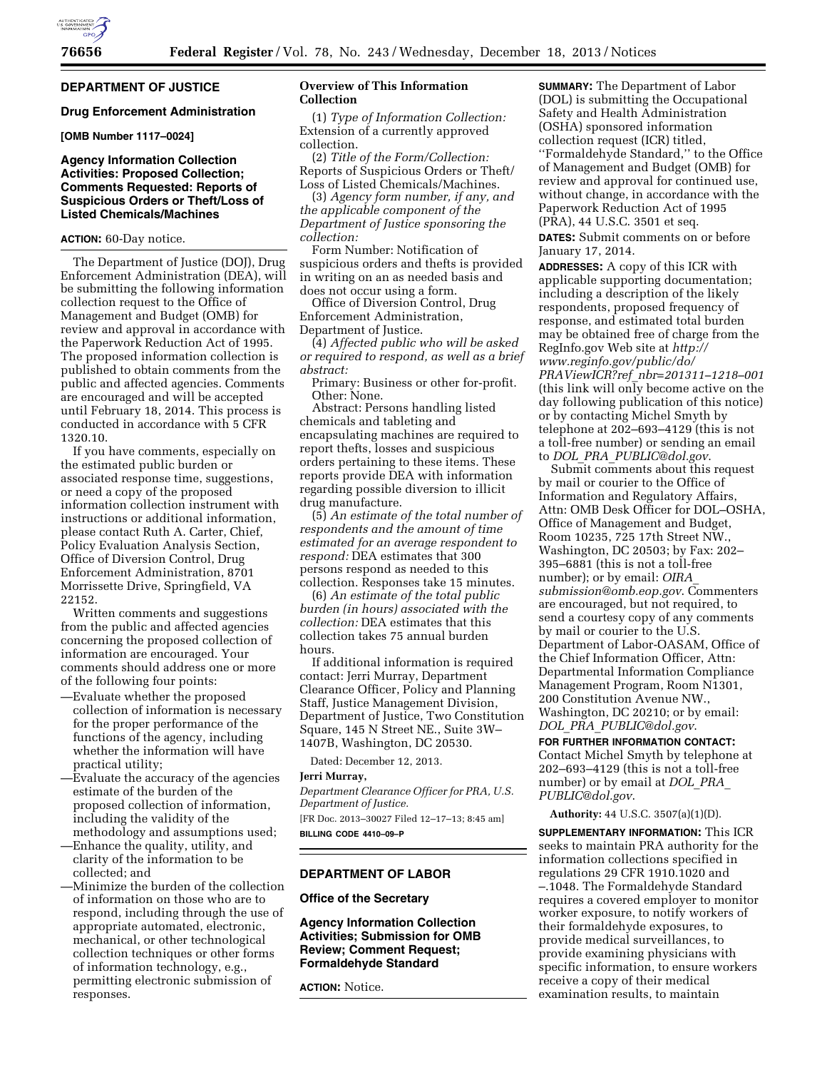

## **DEPARTMENT OF JUSTICE**

### **Drug Enforcement Administration**

**[OMB Number 1117–0024]** 

## **Agency Information Collection Activities: Proposed Collection; Comments Requested: Reports of Suspicious Orders or Theft/Loss of Listed Chemicals/Machines**

### **ACTION:** 60-Day notice.

The Department of Justice (DOJ), Drug Enforcement Administration (DEA), will be submitting the following information collection request to the Office of Management and Budget (OMB) for review and approval in accordance with the Paperwork Reduction Act of 1995. The proposed information collection is published to obtain comments from the public and affected agencies. Comments are encouraged and will be accepted until February 18, 2014. This process is conducted in accordance with 5 CFR 1320.10.

If you have comments, especially on the estimated public burden or associated response time, suggestions, or need a copy of the proposed information collection instrument with instructions or additional information, please contact Ruth A. Carter, Chief, Policy Evaluation Analysis Section, Office of Diversion Control, Drug Enforcement Administration, 8701 Morrissette Drive, Springfield, VA 22152.

Written comments and suggestions from the public and affected agencies concerning the proposed collection of information are encouraged. Your comments should address one or more of the following four points:

- —Evaluate whether the proposed collection of information is necessary for the proper performance of the functions of the agency, including whether the information will have practical utility;
- —Evaluate the accuracy of the agencies estimate of the burden of the proposed collection of information, including the validity of the methodology and assumptions used;
- —Enhance the quality, utility, and clarity of the information to be collected; and

—Minimize the burden of the collection of information on those who are to respond, including through the use of appropriate automated, electronic, mechanical, or other technological collection techniques or other forms of information technology, e.g., permitting electronic submission of responses.

### **Overview of This Information Collection**

(1) *Type of Information Collection:*  Extension of a currently approved collection.

(2) *Title of the Form/Collection:*  Reports of Suspicious Orders or Theft/ Loss of Listed Chemicals/Machines.

(3) *Agency form number, if any, and the applicable component of the Department of Justice sponsoring the collection:* 

Form Number: Notification of suspicious orders and thefts is provided in writing on an as needed basis and does not occur using a form.

Office of Diversion Control, Drug Enforcement Administration, Department of Justice.

(4) *Affected public who will be asked or required to respond, as well as a brief abstract:* 

Primary: Business or other for-profit. Other: None.

Abstract: Persons handling listed chemicals and tableting and encapsulating machines are required to report thefts, losses and suspicious orders pertaining to these items. These reports provide DEA with information regarding possible diversion to illicit drug manufacture.

(5) *An estimate of the total number of respondents and the amount of time estimated for an average respondent to respond:* DEA estimates that 300 persons respond as needed to this collection. Responses take 15 minutes.

(6) *An estimate of the total public burden (in hours) associated with the collection:* DEA estimates that this collection takes 75 annual burden hours.

If additional information is required contact: Jerri Murray, Department Clearance Officer, Policy and Planning Staff, Justice Management Division, Department of Justice, Two Constitution Square, 145 N Street NE., Suite 3W– 1407B, Washington, DC 20530.

Dated: December 12, 2013.

#### **Jerri Murray,**

*Department Clearance Officer for PRA, U.S. Department of Justice.*  [FR Doc. 2013–30027 Filed 12–17–13; 8:45 am]

**BILLING CODE 4410–09–P** 

#### **DEPARTMENT OF LABOR**

## **Office of the Secretary**

**Agency Information Collection Activities; Submission for OMB Review; Comment Request; Formaldehyde Standard** 

**ACTION:** Notice.

**SUMMARY:** The Department of Labor (DOL) is submitting the Occupational Safety and Health Administration (OSHA) sponsored information collection request (ICR) titled, ''Formaldehyde Standard,'' to the Office of Management and Budget (OMB) for review and approval for continued use, without change, in accordance with the Paperwork Reduction Act of 1995 (PRA), 44 U.S.C. 3501 et seq.

**DATES:** Submit comments on or before January 17, 2014.

**ADDRESSES:** A copy of this ICR with applicable supporting documentation; including a description of the likely respondents, proposed frequency of response, and estimated total burden may be obtained free of charge from the RegInfo.gov Web site at *[http://](http://www.reginfo.gov/public/do/PRAViewICR?ref_nbr=201311-1218-001) [www.reginfo.gov/public/do/](http://www.reginfo.gov/public/do/PRAViewICR?ref_nbr=201311-1218-001) PRAViewICR?ref*\_*[nbr=201311–1218–001](http://www.reginfo.gov/public/do/PRAViewICR?ref_nbr=201311-1218-001)*  (this link will only become active on the day following publication of this notice) or by contacting Michel Smyth by telephone at 202–693–4129 (this is not a toll-free number) or sending an email to *DOL*\_*PRA*\_*[PUBLIC@dol.gov](mailto:DOL_PRA_PUBLIC@dol.gov)*.

Submit comments about this request by mail or courier to the Office of Information and Regulatory Affairs, Attn: OMB Desk Officer for DOL–OSHA, Office of Management and Budget, Room 10235, 725 17th Street NW., Washington, DC 20503; by Fax: 202– 395–6881 (this is not a toll-free number); or by email: *[OIRA](mailto:OIRA_submission@omb.eop.gov)*\_ *[submission@omb.eop.gov](mailto:OIRA_submission@omb.eop.gov)*. Commenters are encouraged, but not required, to send a courtesy copy of any comments by mail or courier to the U.S. Department of Labor-OASAM, Office of the Chief Information Officer, Attn: Departmental Information Compliance Management Program, Room N1301, 200 Constitution Avenue NW., Washington, DC 20210; or by email: *DOL*\_*PRA*\_*[PUBLIC@dol.gov](mailto:DOL_PRA_PUBLIC@dol.gov)*.

**FOR FURTHER INFORMATION CONTACT:**  Contact Michel Smyth by telephone at 202–693–4129 (this is not a toll-free number) or by email at *[DOL](mailto:DOL_PRA_PUBLIC@dol.gov)*\_*PRA*\_ *[PUBLIC@dol.gov](mailto:DOL_PRA_PUBLIC@dol.gov)*.

**Authority:** 44 U.S.C. 3507(a)(1)(D).

**SUPPLEMENTARY INFORMATION:** This ICR seeks to maintain PRA authority for the information collections specified in regulations 29 CFR 1910.1020 and –.1048. The Formaldehyde Standard requires a covered employer to monitor worker exposure, to notify workers of their formaldehyde exposures, to provide medical surveillances, to provide examining physicians with specific information, to ensure workers receive a copy of their medical examination results, to maintain